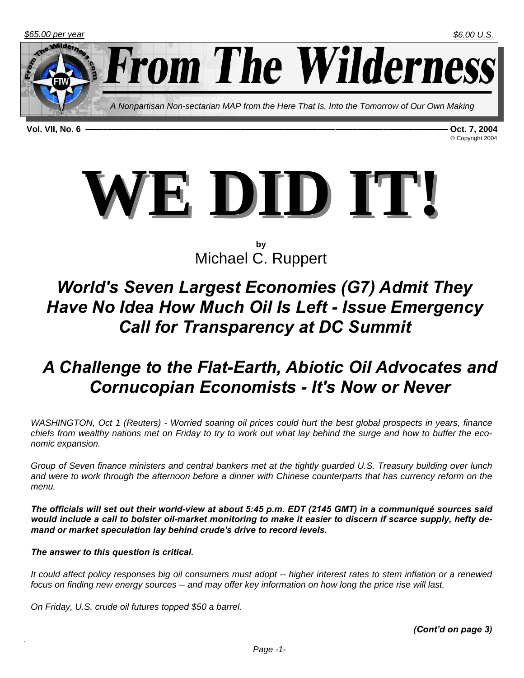**From The Wilderness** 

*A Nonpartisan Non-sectarian MAP from the Here That Is, Into the Tomorrow of Our Own Making* 

**Vol. VII, No. 6 ——–—————–———————————————————–—–——–———–——————— Oct. 7, 2004** 

© Copyright 2004



**by**  Michael C. Ruppert

## *World's Seven Largest Economies (G7) Admit They Have No Idea How Much Oil Is Left - Issue Emergency Call for Transparency at DC Summit*

## *A Challenge to the Flat-Earth, Abiotic Oil Advocates and Cornucopian Economists - It's Now or Never*

*WASHINGTON, Oct 1 (Reuters) - Worried soaring oil prices could hurt the best global prospects in years, finance chiefs from wealthy nations met on Friday to try to work out what lay behind the surge and how to buffer the economic expansion.*

*Group of Seven finance ministers and central bankers met at the tightly guarded U.S. Treasury building over lunch and were to work through the afternoon before a dinner with Chinese counterparts that has currency reform on the menu.*

*The officials will set out their world-view at about 5:45 p.m. EDT (2145 GMT) in a communiqué sources said would include a call to bolster oil-market monitoring to make it easier to discern if scarce supply, hefty demand or market speculation lay behind crude's drive to record levels.*

#### *The answer to this question is critical.*

*It could affect policy responses big oil consumers must adopt -- higher interest rates to stem inflation or a renewed focus on finding new energy sources -- and may offer key information on how long the price rise will last.*

*On Friday, U.S. crude oil futures topped \$50 a barrel.*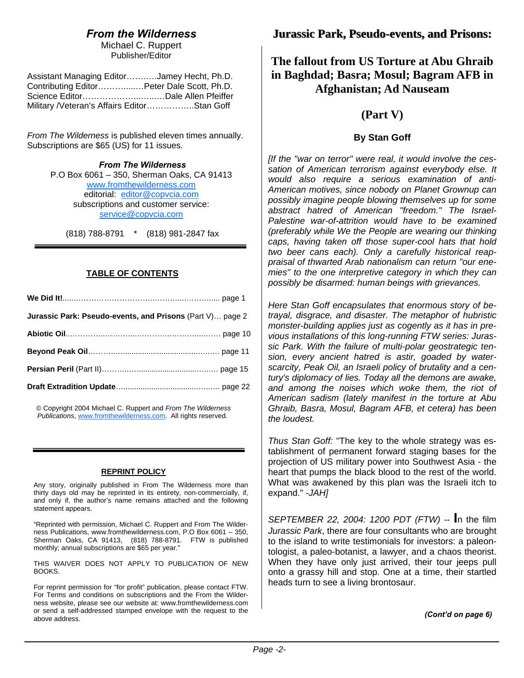## *From the Wilderness*

Michael C. Ruppert Publisher/Editor

| Assistant Managing EditorJamey Hecht, Ph.D. |  |
|---------------------------------------------|--|
| Contributing EditorPeter Dale Scott, Ph.D.  |  |
|                                             |  |
| Military /Veteran's Affairs EditorStan Goff |  |

*From The Wilderness* is published eleven times annually. Subscriptions are \$65 (US) for 11 issues.

> *From The Wilderness*  P.O Box 6061 – 350, Sherman Oaks, CA 91413 www.fromthewilderness.com editorial: editor@copvcia.com subscriptions and customer service: service@copvcia.com

(818) 788-8791 \* (818) 981-2847 fax

#### **TABLE OF CONTENTS**

| Jurassic Park: Pseudo-events, and Prisons (Part V) page 2 |  |
|-----------------------------------------------------------|--|
|                                                           |  |
|                                                           |  |
|                                                           |  |
|                                                           |  |

© Copyright 2004 Michael C. Ruppert and *From The Wilderness Publications*, www.fromthewilderness.com. All rights reserved.

#### **REPRINT POLICY**

Any story, originally published in From The Wilderness more than thirty days old may be reprinted in its entirety, non-commercially, if, and only if, the author's name remains attached and the following statement appears.

"Reprinted with permission, Michael C. Ruppert and From The Wilderness Publications, www.fromthewilderness.com, P.O Box 6061 – 350, Sherman Oaks, CA 91413, (818) 788-8791. FTW is published monthly; annual subscriptions are \$65 per year."

THIS WAIVER DOES NOT APPLY TO PUBLICATION OF NEW BOOKS.

For reprint permission for "for profit" publication, please contact FTW. For Terms and conditions on subscriptions and the From the Wilderness website, please see our website at: www.fromthewilderness.com or send a self-addressed stamped envelope with the request to the above address.

### **Jurassic Park, Pseudo-events, and Prisons:**

## **The fallout from US Torture at Abu Ghraib in Baghdad; Basra; Mosul; Bagram AFB in Afghanistan; Ad Nauseam**

### **(Part V)**

#### **By Stan Goff**

*[If the "war on terror" were real, it would involve the cessation of American terrorism against everybody else. It would also require a serious examination of anti-American motives, since nobody on Planet Grownup can possibly imagine people blowing themselves up for some abstract hatred of American "freedom." The Israel-Palestine war-of-attrition would have to be examined (preferably while We the People are wearing our thinking caps, having taken off those super-cool hats that hold two beer cans each). Only a carefully historical reappraisal of thwarted Arab nationalism can return "our enemies" to the one interpretive category in which they can possibly be disarmed: human beings with grievances.*

*Here Stan Goff encapsulates that enormous story of betrayal, disgrace, and disaster. The metaphor of hubristic monster-building applies just as cogently as it has in previous installations of this long-running FTW series: Jurassic Park. With the failure of multi-polar geostrategic tension, every ancient hatred is astir, goaded by waterscarcity, Peak Oil, an Israeli policy of brutality and a century's diplomacy of lies. Today all the demons are awake, and among the noises which woke them, the riot of American sadism (lately manifest in the torture at Abu Ghraib, Basra, Mosul, Bagram AFB, et cetera) has been the loudest.*

*Thus Stan Goff:* "The key to the whole strategy was establishment of permanent forward staging bases for the projection of US military power into Southwest Asia - the heart that pumps the black blood to the rest of the world. What was awakened by this plan was the Israeli itch to expand." *-JAH]*

*SEPTEMBER 22, 2004: 1200 PDT (FTW)* -- **I**n the film *Jurassic Park*, there are four consultants who are brought to the island to write testimonials for investors: a paleontologist, a paleo-botanist, a lawyer, and a chaos theorist. When they have only just arrived, their tour jeeps pull onto a grassy hill and stop. One at a time, their startled heads turn to see a living brontosaur.

*(Cont'd on page 6)*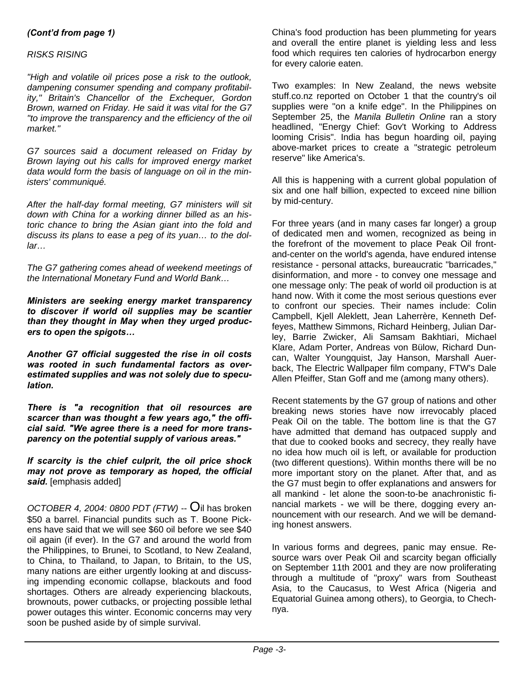#### *(Cont'd from page 1)*

#### *RISKS RISING*

*"High and volatile oil prices pose a risk to the outlook, dampening consumer spending and company profitability," Britain's Chancellor of the Exchequer, Gordon Brown, warned on Friday. He said it was vital for the G7 "to improve the transparency and the efficiency of the oil market."*

*G7 sources said a document released on Friday by Brown laying out his calls for improved energy market data would form the basis of language on oil in the ministers' communiqué.*

*After the half-day formal meeting, G7 ministers will sit down with China for a working dinner billed as an historic chance to bring the Asian giant into the fold and discuss its plans to ease a peg of its yuan… to the dollar…*

*The G7 gathering comes ahead of weekend meetings of the International Monetary Fund and World Bank…*

*Ministers are seeking energy market transparency to discover if world oil supplies may be scantier than they thought in May when they urged producers to open the spigots…*

*Another G7 official suggested the rise in oil costs was rooted in such fundamental factors as overestimated supplies and was not solely due to speculation.*

*There is "a recognition that oil resources are scarcer than was thought a few years ago," the official said. "We agree there is a need for more transparency on the potential supply of various areas."*

*If scarcity is the chief culprit, the oil price shock may not prove as temporary as hoped, the official said.* [emphasis added]

*OCTOBER 4, 2004: 0800 PDT (FTW)* -- Oil has broken \$50 a barrel. Financial pundits such as T. Boone Pickens have said that we will see \$60 oil before we see \$40 oil again (if ever). In the G7 and around the world from the Philippines, to Brunei, to Scotland, to New Zealand, to China, to Thailand, to Japan, to Britain, to the US, many nations are either urgently looking at and discussing impending economic collapse, blackouts and food shortages. Others are already experiencing blackouts, brownouts, power cutbacks, or projecting possible lethal power outages this winter. Economic concerns may very soon be pushed aside by of simple survival.

China's food production has been plummeting for years and overall the entire planet is yielding less and less food which requires ten calories of hydrocarbon energy for every calorie eaten.

Two examples: In New Zealand, the news website stuff.co.nz reported on October 1 that the country's oil supplies were "on a knife edge". In the Philippines on September 25, the *Manila Bulletin Online* ran a story headlined, "Energy Chief: Gov't Working to Address looming Crisis". India has begun hoarding oil, paying above-market prices to create a "strategic petroleum reserve" like America's.

All this is happening with a current global population of six and one half billion, expected to exceed nine billion by mid-century.

For three years (and in many cases far longer) a group of dedicated men and women, recognized as being in the forefront of the movement to place Peak Oil frontand-center on the world's agenda, have endured intense resistance - personal attacks, bureaucratic "barricades," disinformation, and more - to convey one message and one message only: The peak of world oil production is at hand now. With it come the most serious questions ever to confront our species. Their names include: Colin Campbell, Kjell Aleklett, Jean Laherrère, Kenneth Deffeyes, Matthew Simmons, Richard Heinberg, Julian Darley, Barrie Zwicker, Ali Samsam Bakhtiari, Michael Klare, Adam Porter, Andreas von Bülow, Richard Duncan, Walter Youngquist, Jay Hanson, Marshall Auerback, The Electric Wallpaper film company, FTW's Dale Allen Pfeiffer, Stan Goff and me (among many others).

Recent statements by the G7 group of nations and other breaking news stories have now irrevocably placed Peak Oil on the table. The bottom line is that the G7 have admitted that demand has outpaced supply and that due to cooked books and secrecy, they really have no idea how much oil is left, or available for production (two different questions). Within months there will be no more important story on the planet. After that, and as the G7 must begin to offer explanations and answers for all mankind - let alone the soon-to-be anachronistic financial markets - we will be there, dogging every announcement with our research. And we will be demanding honest answers.

In various forms and degrees, panic may ensue. Resource wars over Peak Oil and scarcity began officially on September 11th 2001 and they are now proliferating through a multitude of "proxy" wars from Southeast Asia, to the Caucasus, to West Africa (Nigeria and Equatorial Guinea among others), to Georgia, to Chechnya.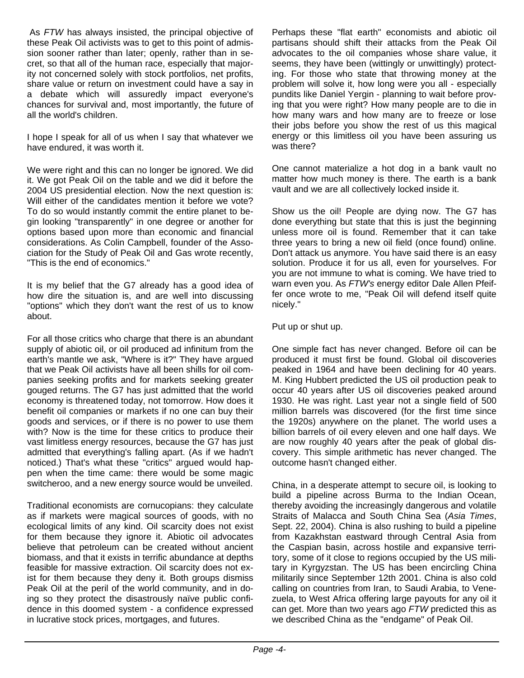As *FTW* has always insisted, the principal objective of these Peak Oil activists was to get to this point of admission sooner rather than later; openly, rather than in secret, so that all of the human race, especially that majority not concerned solely with stock portfolios, net profits, share value or return on investment could have a say in a debate which will assuredly impact everyone's chances for survival and, most importantly, the future of all the world's children.

I hope I speak for all of us when I say that whatever we have endured, it was worth it.

We were right and this can no longer be ignored. We did it. We got Peak Oil on the table and we did it before the 2004 US presidential election. Now the next question is: Will either of the candidates mention it before we vote? To do so would instantly commit the entire planet to begin looking "transparently" in one degree or another for options based upon more than economic and financial considerations. As Colin Campbell, founder of the Association for the Study of Peak Oil and Gas wrote recently, "This is the end of economics."

It is my belief that the G7 already has a good idea of how dire the situation is, and are well into discussing "options" which they don't want the rest of us to know about.

For all those critics who charge that there is an abundant supply of abiotic oil, or oil produced ad infinitum from the earth's mantle we ask, "Where is it?" They have argued that we Peak Oil activists have all been shills for oil companies seeking profits and for markets seeking greater gouged returns. The G7 has just admitted that the world economy is threatened today, not tomorrow. How does it benefit oil companies or markets if no one can buy their goods and services, or if there is no power to use them with? Now is the time for these critics to produce their vast limitless energy resources, because the G7 has just admitted that everything's falling apart. (As if we hadn't noticed.) That's what these "critics" argued would happen when the time came: there would be some magic switcheroo, and a new energy source would be unveiled.

Traditional economists are cornucopians: they calculate as if markets were magical sources of goods, with no ecological limits of any kind. Oil scarcity does not exist for them because they ignore it. Abiotic oil advocates believe that petroleum can be created without ancient biomass, and that it exists in terrific abundance at depths feasible for massive extraction. Oil scarcity does not exist for them because they deny it. Both groups dismiss Peak Oil at the peril of the world community, and in doing so they protect the disastrously naïve public confidence in this doomed system - a confidence expressed in lucrative stock prices, mortgages, and futures.

Perhaps these "flat earth" economists and abiotic oil partisans should shift their attacks from the Peak Oil advocates to the oil companies whose share value, it seems, they have been (wittingly or unwittingly) protecting. For those who state that throwing money at the problem will solve it, how long were you all - especially pundits like Daniel Yergin - planning to wait before proving that you were right? How many people are to die in how many wars and how many are to freeze or lose their jobs before you show the rest of us this magical energy or this limitless oil you have been assuring us was there?

One cannot materialize a hot dog in a bank vault no matter how much money is there. The earth is a bank vault and we are all collectively locked inside it.

Show us the oil! People are dying now. The G7 has done everything but state that this is just the beginning unless more oil is found. Remember that it can take three years to bring a new oil field (once found) online. Don't attack us anymore. You have said there is an easy solution. Produce it for us all, even for yourselves. For you are not immune to what is coming. We have tried to warn even you. As *FTW's* energy editor Dale Allen Pfeiffer once wrote to me, "Peak Oil will defend itself quite nicely."

Put up or shut up.

One simple fact has never changed. Before oil can be produced it must first be found. Global oil discoveries peaked in 1964 and have been declining for 40 years. M. King Hubbert predicted the US oil production peak to occur 40 years after US oil discoveries peaked around 1930. He was right. Last year not a single field of 500 million barrels was discovered (for the first time since the 1920s) anywhere on the planet. The world uses a billion barrels of oil every eleven and one half days. We are now roughly 40 years after the peak of global discovery. This simple arithmetic has never changed. The outcome hasn't changed either.

China, in a desperate attempt to secure oil, is looking to build a pipeline across Burma to the Indian Ocean, thereby avoiding the increasingly dangerous and volatile Straits of Malacca and South China Sea (*Asia Times*, Sept. 22, 2004). China is also rushing to build a pipeline from Kazakhstan eastward through Central Asia from the Caspian basin, across hostile and expansive territory, some of it close to regions occupied by the US military in Kyrgyzstan. The US has been encircling China militarily since September 12th 2001. China is also cold calling on countries from Iran, to Saudi Arabia, to Venezuela, to West Africa offering large payouts for any oil it can get. More than two years ago *FTW* predicted this as we described China as the "endgame" of Peak Oil.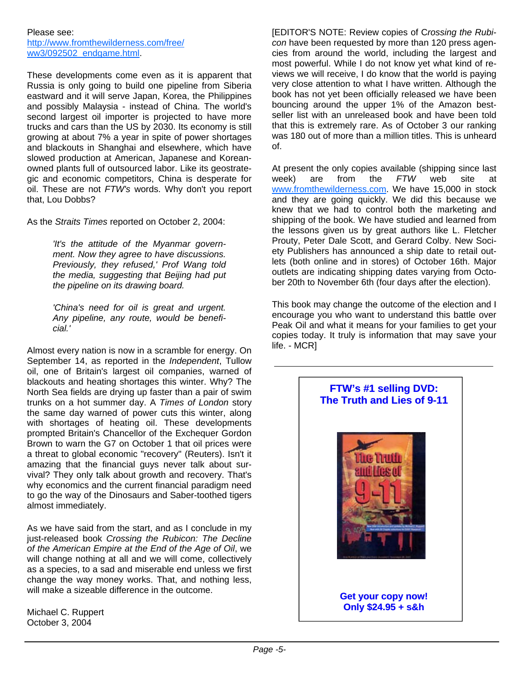#### Please see:

http://www.fromthewilderness.com/free/ ww3/092502\_endgame.html.

These developments come even as it is apparent that Russia is only going to build one pipeline from Siberia eastward and it will serve Japan, Korea, the Philippines and possibly Malaysia - instead of China. The world's second largest oil importer is projected to have more trucks and cars than the US by 2030. Its economy is still growing at about 7% a year in spite of power shortages and blackouts in Shanghai and elsewhere, which have slowed production at American, Japanese and Koreanowned plants full of outsourced labor. Like its geostrategic and economic competitors, China is desperate for oil. These are not *FTW's* words. Why don't you report that, Lou Dobbs?

As the *Straits Times* reported on October 2, 2004:

*'It's the attitude of the Myanmar government. Now they agree to have discussions. Previously, they refused,' Prof Wang told the media, suggesting that Beijing had put the pipeline on its drawing board.*

*'China's need for oil is great and urgent. Any pipeline, any route, would be beneficial.'*

Almost every nation is now in a scramble for energy. On September 14, as reported in the *Independent*, Tullow oil, one of Britain's largest oil companies, warned of blackouts and heating shortages this winter. Why? The North Sea fields are drying up faster than a pair of swim trunks on a hot summer day. A *Times of London* story the same day warned of power cuts this winter, along with shortages of heating oil. These developments prompted Britain's Chancellor of the Exchequer Gordon Brown to warn the G7 on October 1 that oil prices were a threat to global economic "recovery" (Reuters). Isn't it amazing that the financial guys never talk about survival? They only talk about growth and recovery. That's why economics and the current financial paradigm need to go the way of the Dinosaurs and Saber-toothed tigers almost immediately.

As we have said from the start, and as I conclude in my just-released book *Crossing the Rubicon: The Decline of the American Empire at the End of the Age of Oil*, we will change nothing at all and we will come, collectively as a species, to a sad and miserable end unless we first change the way money works. That, and nothing less, will make a sizeable difference in the outcome.

Michael C. Ruppert October 3, 2004

[EDITOR'S NOTE: Review copies of C*rossing the Rubicon* have been requested by more than 120 press agencies from around the world, including the largest and most powerful. While I do not know yet what kind of reviews we will receive, I do know that the world is paying very close attention to what I have written. Although the book has not yet been officially released we have been bouncing around the upper 1% of the Amazon bestseller list with an unreleased book and have been told that this is extremely rare. As of October 3 our ranking was 180 out of more than a million titles. This is unheard of.

At present the only copies available (shipping since last week) are from the *FTW* web site at www.fromthewilderness.com. We have 15,000 in stock and they are going quickly. We did this because we knew that we had to control both the marketing and shipping of the book. We have studied and learned from the lessons given us by great authors like L. Fletcher Prouty, Peter Dale Scott, and Gerard Colby. New Society Publishers has announced a ship date to retail outlets (both online and in stores) of October 16th. Major outlets are indicating shipping dates varying from October 20th to November 6th (four days after the election).

This book may change the outcome of the election and I encourage you who want to understand this battle over Peak Oil and what it means for your families to get your copies today. It truly is information that may save your life. - MCR]

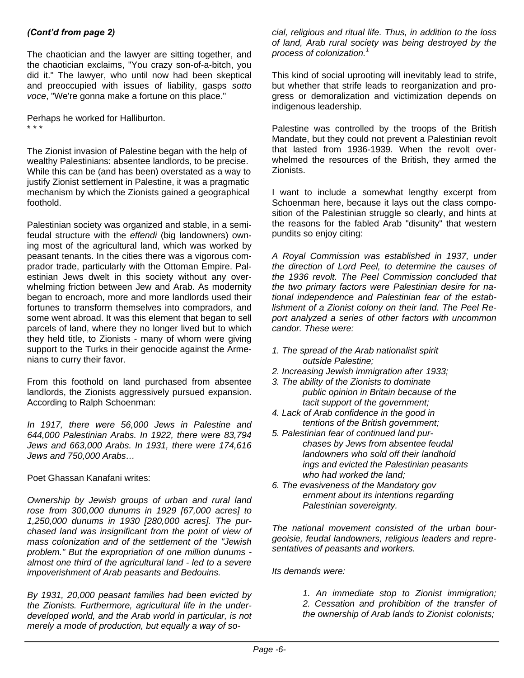#### *(Cont'd from page 2)*

The chaotician and the lawyer are sitting together, and the chaotician exclaims, "You crazy son-of-a-bitch, you did it." The lawyer, who until now had been skeptical and preoccupied with issues of liability, gasps *sotto voce*, "We're gonna make a fortune on this place."

Perhaps he worked for Halliburton. \* \* \*

The Zionist invasion of Palestine began with the help of wealthy Palestinians: absentee landlords, to be precise. While this can be (and has been) overstated as a way to justify Zionist settlement in Palestine, it was a pragmatic mechanism by which the Zionists gained a geographical foothold.

Palestinian society was organized and stable, in a semifeudal structure with the *effendi* (big landowners) owning most of the agricultural land, which was worked by peasant tenants. In the cities there was a vigorous comprador trade, particularly with the Ottoman Empire. Palestinian Jews dwelt in this society without any overwhelming friction between Jew and Arab. As modernity began to encroach, more and more landlords used their fortunes to transform themselves into compradors, and some went abroad. It was this element that began to sell parcels of land, where they no longer lived but to which they held title, to Zionists - many of whom were giving support to the Turks in their genocide against the Armenians to curry their favor.

From this foothold on land purchased from absentee landlords, the Zionists aggressively pursued expansion. According to Ralph Schoenman:

*In 1917, there were 56,000 Jews in Palestine and 644,000 Palestinian Arabs. In 1922, there were 83,794 Jews and 663,000 Arabs. In 1931, there were 174,616 Jews and 750,000 Arabs…*

#### Poet Ghassan Kanafani writes:

*Ownership by Jewish groups of urban and rural land rose from 300,000 dunums in 1929 [67,000 acres] to 1,250,000 dunums in 1930 [280,000 acres]. The purchased land was insignificant from the point of view of mass colonization and of the settlement of the "Jewish problem." But the expropriation of one million dunums almost one third of the agricultural land - led to a severe impoverishment of Arab peasants and Bedouins.*

*By 1931, 20,000 peasant families had been evicted by the Zionists. Furthermore, agricultural life in the underdeveloped world, and the Arab world in particular, is not merely a mode of production, but equally a way of so-*

*cial, religious and ritual life. Thus, in addition to the loss of land, Arab rural society was being destroyed by the process of colonization.<sup>1</sup>*

This kind of social uprooting will inevitably lead to strife, but whether that strife leads to reorganization and progress or demoralization and victimization depends on indigenous leadership.

Palestine was controlled by the troops of the British Mandate, but they could not prevent a Palestinian revolt that lasted from 1936-1939. When the revolt overwhelmed the resources of the British, they armed the Zionists.

I want to include a somewhat lengthy excerpt from Schoenman here, because it lays out the class composition of the Palestinian struggle so clearly, and hints at the reasons for the fabled Arab "disunity" that western pundits so enjoy citing:

*A Royal Commission was established in 1937, under the direction of Lord Peel, to determine the causes of the 1936 revolt. The Peel Commission concluded that the two primary factors were Palestinian desire for national independence and Palestinian fear of the establishment of a Zionist colony on their land. The Peel Report analyzed a series of other factors with uncommon candor. These were:*

- *1. The spread of the Arab nationalist spirit outside Palestine;*
- *2. Increasing Jewish immigration after 1933;*
- *3. The ability of the Zionists to dominate public opinion in Britain because of the tacit support of the government;*
- *4. Lack of Arab confidence in the good in tentions of the British government;*
- *5. Palestinian fear of continued land pur chases by Jews from absentee feudal landowners who sold off their landhold ings and evicted the Palestinian peasants who had worked the land;*
- *6. The evasiveness of the Mandatory gov ernment about its intentions regarding Palestinian sovereignty.*

*The national movement consisted of the urban bourgeoisie, feudal landowners, religious leaders and representatives of peasants and workers.*

*Its demands were:*

*1. An immediate stop to Zionist immigration; 2. Cessation and prohibition of the transfer of the ownership of Arab lands to Zionist colonists;*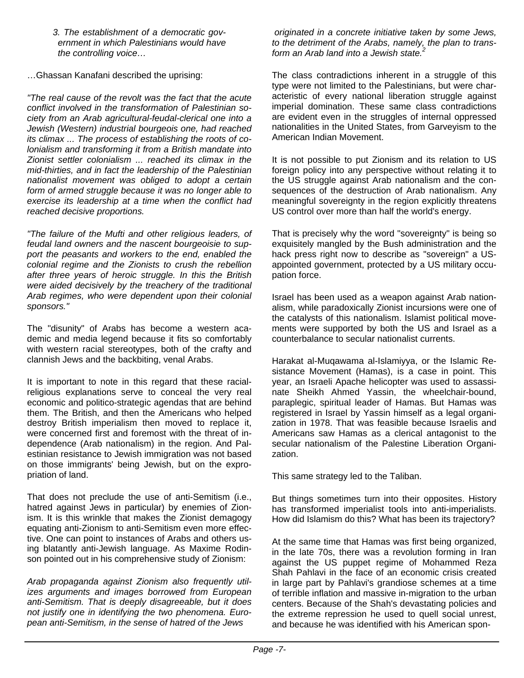*3. The establishment of a democratic gov ernment in which Palestinians would have the controlling voice…*

…Ghassan Kanafani described the uprising:

*"The real cause of the revolt was the fact that the acute conflict involved in the transformation of Palestinian society from an Arab agricultural-feudal-clerical one into a Jewish (Western) industrial bourgeois one, had reached its climax ... The process of establishing the roots of colonialism and transforming it from a British mandate into Zionist settler colonialism ... reached its climax in the mid-thirties, and in fact the leadership of the Palestinian nationalist movement was obliged to adopt a certain form of armed struggle because it was no longer able to exercise its leadership at a time when the conflict had reached decisive proportions.*

*"The failure of the Mufti and other religious leaders, of feudal land owners and the nascent bourgeoisie to support the peasants and workers to the end, enabled the colonial regime and the Zionists to crush the rebellion after three years of heroic struggle. In this the British were aided decisively by the treachery of the traditional Arab regimes, who were dependent upon their colonial sponsors."*

The "disunity" of Arabs has become a western academic and media legend because it fits so comfortably with western racial stereotypes, both of the crafty and clannish Jews and the backbiting, venal Arabs.

It is important to note in this regard that these racialreligious explanations serve to conceal the very real economic and politico-strategic agendas that are behind them. The British, and then the Americans who helped destroy British imperialism then moved to replace it, were concerned first and foremost with the threat of independence (Arab nationalism) in the region. And Palestinian resistance to Jewish immigration was not based on those immigrants' being Jewish, but on the expropriation of land.

That does not preclude the use of anti-Semitism (i.e., hatred against Jews in particular) by enemies of Zionism. It is this wrinkle that makes the Zionist demagogy equating anti-Zionism to anti-Semitism even more effective. One can point to instances of Arabs and others using blatantly anti-Jewish language. As Maxime Rodinson pointed out in his comprehensive study of Zionism:

*Arab propaganda against Zionism also frequently utilizes arguments and images borrowed from European anti-Semitism. That is deeply disagreeable, but it does not justify one in identifying the two phenomena. European anti-Semitism, in the sense of hatred of the Jews* 

 *originated in a concrete initiative taken by some Jews, to the detriment of the Arabs, namely, the plan to transform an Arab land into a Jewish state.<sup>2</sup>*

The class contradictions inherent in a struggle of this type were not limited to the Palestinians, but were characteristic of every national liberation struggle against imperial domination. These same class contradictions are evident even in the struggles of internal oppressed nationalities in the United States, from Garveyism to the American Indian Movement.

It is not possible to put Zionism and its relation to US foreign policy into any perspective without relating it to the US struggle against Arab nationalism and the consequences of the destruction of Arab nationalism. Any meaningful sovereignty in the region explicitly threatens US control over more than half the world's energy.

That is precisely why the word "sovereignty" is being so exquisitely mangled by the Bush administration and the hack press right now to describe as "sovereign" a USappointed government, protected by a US military occupation force.

Israel has been used as a weapon against Arab nationalism, while paradoxically Zionist incursions were one of the catalysts of this nationalism. Islamist political movements were supported by both the US and Israel as a counterbalance to secular nationalist currents.

Harakat al-Muqawama al-Islamiyya, or the Islamic Resistance Movement (Hamas), is a case in point. This year, an Israeli Apache helicopter was used to assassinate Sheikh Ahmed Yassin, the wheelchair-bound, paraplegic, spiritual leader of Hamas. But Hamas was registered in Israel by Yassin himself as a legal organization in 1978. That was feasible because Israelis and Americans saw Hamas as a clerical antagonist to the secular nationalism of the Palestine Liberation Organization.

This same strategy led to the Taliban.

But things sometimes turn into their opposites. History has transformed imperialist tools into anti-imperialists. How did Islamism do this? What has been its trajectory?

At the same time that Hamas was first being organized, in the late 70s, there was a revolution forming in Iran against the US puppet regime of Mohammed Reza Shah Pahlavi in the face of an economic crisis created in large part by Pahlavi's grandiose schemes at a time of terrible inflation and massive in-migration to the urban centers. Because of the Shah's devastating policies and the extreme repression he used to quell social unrest, and because he was identified with his American spon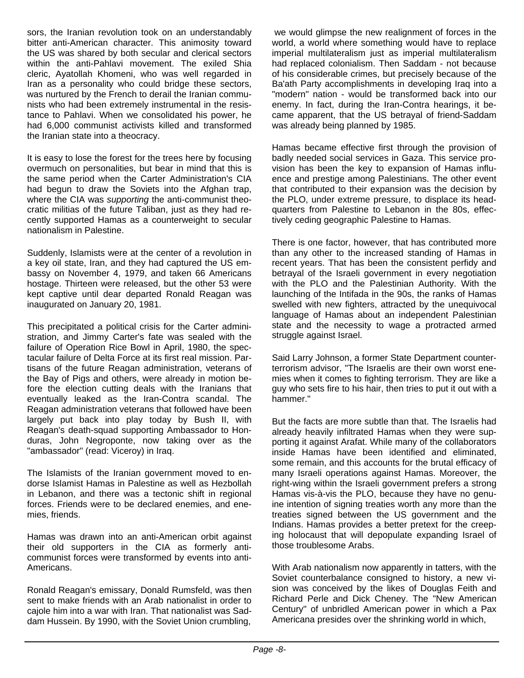sors, the Iranian revolution took on an understandably bitter anti-American character. This animosity toward the US was shared by both secular and clerical sectors within the anti-Pahlavi movement. The exiled Shia cleric, Ayatollah Khomeni, who was well regarded in Iran as a personality who could bridge these sectors, was nurtured by the French to derail the Iranian communists who had been extremely instrumental in the resistance to Pahlavi. When we consolidated his power, he had 6,000 communist activists killed and transformed the Iranian state into a theocracy.

It is easy to lose the forest for the trees here by focusing overmuch on personalities, but bear in mind that this is the same period when the Carter Administration's CIA had begun to draw the Soviets into the Afghan trap, where the CIA was *supporting* the anti-communist theocratic militias of the future Taliban, just as they had recently supported Hamas as a counterweight to secular nationalism in Palestine.

Suddenly, Islamists were at the center of a revolution in a key oil state, Iran, and they had captured the US embassy on November 4, 1979, and taken 66 Americans hostage. Thirteen were released, but the other 53 were kept captive until dear departed Ronald Reagan was inaugurated on January 20, 1981.

This precipitated a political crisis for the Carter administration, and Jimmy Carter's fate was sealed with the failure of Operation Rice Bowl in April, 1980, the spectacular failure of Delta Force at its first real mission. Partisans of the future Reagan administration, veterans of the Bay of Pigs and others, were already in motion before the election cutting deals with the Iranians that eventually leaked as the Iran-Contra scandal. The Reagan administration veterans that followed have been largely put back into play today by Bush II, with Reagan's death-squad supporting Ambassador to Honduras, John Negroponte, now taking over as the "ambassador" (read: Viceroy) in Iraq.

The Islamists of the Iranian government moved to endorse Islamist Hamas in Palestine as well as Hezbollah in Lebanon, and there was a tectonic shift in regional forces. Friends were to be declared enemies, and enemies, friends.

Hamas was drawn into an anti-American orbit against their old supporters in the CIA as formerly anticommunist forces were transformed by events into anti-Americans.

Ronald Reagan's emissary, Donald Rumsfeld, was then sent to make friends with an Arab nationalist in order to cajole him into a war with Iran. That nationalist was Saddam Hussein. By 1990, with the Soviet Union crumbling,

we would glimpse the new realignment of forces in the world, a world where something would have to replace imperial multilateralism just as imperial multilateralism had replaced colonialism. Then Saddam - not because of his considerable crimes, but precisely because of the Ba'ath Party accomplishments in developing Iraq into a "modern" nation - would be transformed back into our enemy. In fact, during the Iran-Contra hearings, it became apparent, that the US betrayal of friend-Saddam was already being planned by 1985.

Hamas became effective first through the provision of badly needed social services in Gaza. This service provision has been the key to expansion of Hamas influence and prestige among Palestinians. The other event that contributed to their expansion was the decision by the PLO, under extreme pressure, to displace its headquarters from Palestine to Lebanon in the 80s, effectively ceding geographic Palestine to Hamas.

There is one factor, however, that has contributed more than any other to the increased standing of Hamas in recent years. That has been the consistent perfidy and betrayal of the Israeli government in every negotiation with the PLO and the Palestinian Authority. With the launching of the Intifada in the 90s, the ranks of Hamas swelled with new fighters, attracted by the unequivocal language of Hamas about an independent Palestinian state and the necessity to wage a protracted armed struggle against Israel.

Said Larry Johnson, a former State Department counterterrorism advisor, "The Israelis are their own worst enemies when it comes to fighting terrorism. They are like a guy who sets fire to his hair, then tries to put it out with a hammer."

But the facts are more subtle than that. The Israelis had already heavily infiltrated Hamas when they were supporting it against Arafat. While many of the collaborators inside Hamas have been identified and eliminated, some remain, and this accounts for the brutal efficacy of many Israeli operations against Hamas. Moreover, the right-wing within the Israeli government prefers a strong Hamas vis-à-vis the PLO, because they have no genuine intention of signing treaties worth any more than the treaties signed between the US government and the Indians. Hamas provides a better pretext for the creeping holocaust that will depopulate expanding Israel of those troublesome Arabs.

With Arab nationalism now apparently in tatters, with the Soviet counterbalance consigned to history, a new vision was conceived by the likes of Douglas Feith and Richard Perle and Dick Cheney. The "New American Century" of unbridled American power in which a Pax Americana presides over the shrinking world in which,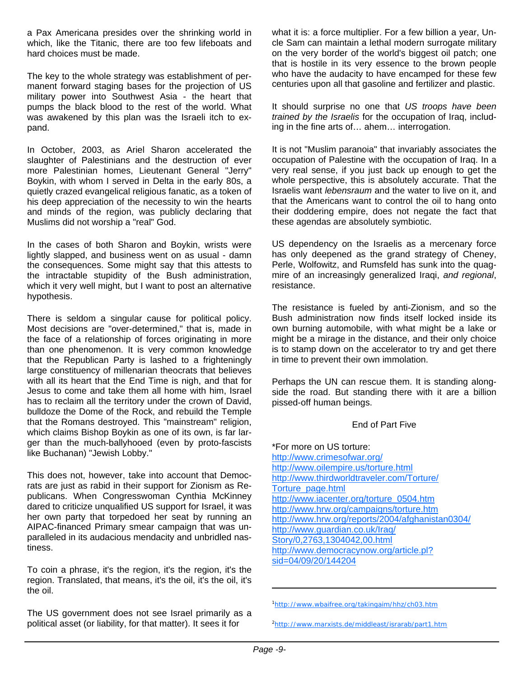a Pax Americana presides over the shrinking world in which, like the Titanic, there are too few lifeboats and hard choices must be made.

The key to the whole strategy was establishment of permanent forward staging bases for the projection of US military power into Southwest Asia - the heart that pumps the black blood to the rest of the world. What was awakened by this plan was the Israeli itch to expand.

In October, 2003, as Ariel Sharon accelerated the slaughter of Palestinians and the destruction of ever more Palestinian homes, Lieutenant General "Jerry" Boykin, with whom I served in Delta in the early 80s, a quietly crazed evangelical religious fanatic, as a token of his deep appreciation of the necessity to win the hearts and minds of the region, was publicly declaring that Muslims did not worship a "real" God.

In the cases of both Sharon and Boykin, wrists were lightly slapped, and business went on as usual - damn the consequences. Some might say that this attests to the intractable stupidity of the Bush administration, which it very well might, but I want to post an alternative hypothesis.

There is seldom a singular cause for political policy. Most decisions are "over-determined," that is, made in the face of a relationship of forces originating in more than one phenomenon. It is very common knowledge that the Republican Party is lashed to a frighteningly large constituency of millenarian theocrats that believes with all its heart that the End Time is nigh, and that for Jesus to come and take them all home with him, Israel has to reclaim all the territory under the crown of David, bulldoze the Dome of the Rock, and rebuild the Temple that the Romans destroyed. This "mainstream" religion, which claims Bishop Boykin as one of its own, is far larger than the much-ballyhooed (even by proto-fascists like Buchanan) "Jewish Lobby."

This does not, however, take into account that Democrats are just as rabid in their support for Zionism as Republicans. When Congresswoman Cynthia McKinney dared to criticize unqualified US support for Israel, it was her own party that torpedoed her seat by running an AIPAC-financed Primary smear campaign that was unparalleled in its audacious mendacity and unbridled nastiness.

To coin a phrase, it's the region, it's the region, it's the region. Translated, that means, it's the oil, it's the oil, it's the oil.

The US government does not see Israel primarily as a political asset (or liability, for that matter). It sees it for

what it is: a force multiplier. For a few billion a year, Uncle Sam can maintain a lethal modern surrogate military on the very border of the world's biggest oil patch; one that is hostile in its very essence to the brown people who have the audacity to have encamped for these few centuries upon all that gasoline and fertilizer and plastic.

It should surprise no one that *US troops have been trained by the Israelis* for the occupation of Iraq, including in the fine arts of… ahem… interrogation.

It is not "Muslim paranoia" that invariably associates the occupation of Palestine with the occupation of Iraq. In a very real sense, if you just back up enough to get the whole perspective, this is absolutely accurate. That the Israelis want *lebensraum* and the water to live on it, and that the Americans want to control the oil to hang onto their doddering empire, does not negate the fact that these agendas are absolutely symbiotic.

US dependency on the Israelis as a mercenary force has only deepened as the grand strategy of Cheney, Perle, Wolfowitz, and Rumsfeld has sunk into the quagmire of an increasingly generalized Iraqi, *and regional*, resistance.

The resistance is fueled by anti-Zionism, and so the Bush administration now finds itself locked inside its own burning automobile, with what might be a lake or might be a mirage in the distance, and their only choice is to stamp down on the accelerator to try and get there in time to prevent their own immolation.

Perhaps the UN can rescue them. It is standing alongside the road. But standing there with it are a billion pissed-off human beings.

#### End of Part Five

\*For more on US torture: http://www.crimesofwar.org/ http://www.oilempire.us/torture.html http://www.thirdworldtraveler.com/Torture/ Torture\_page.html http://www.iacenter.org/torture\_0504.htm http://www.hrw.org/campaigns/torture.htm http://www.hrw.org/reports/2004/afghanistan0304/ http://www.guardian.co.uk/Iraq/ Story/0,2763,1304042,00.html http://www.democracynow.org/article.pl? sid=04/09/20/144204

<sup>1</sup> http://www.wbaifree.org/takingaim/hhz/ch03.htm

<sup>&</sup>lt;sup>2</sup>http://www.marxists.de/middleast/israrab/part1.htm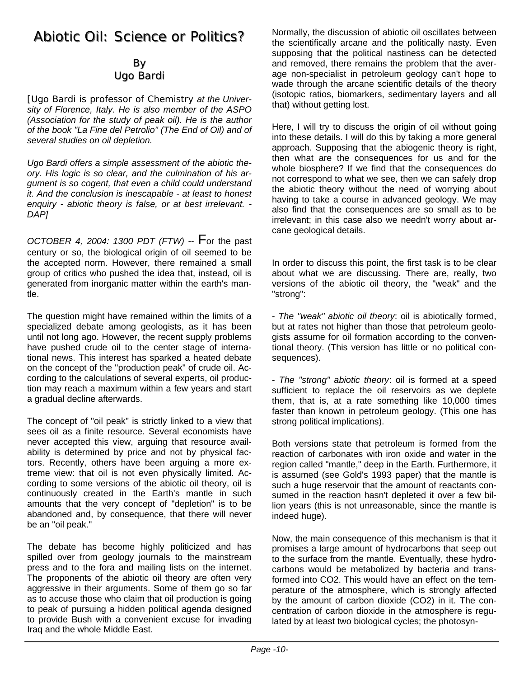## Abiotic Oil: Science or Politics? Abiotic Oil: Science or Politics?

#### By Ugo Bardi

*[Ugo Bardi is professor of Chemistry at the University of Florence, Italy. He is also member of the ASPO (Association for the study of peak oil). He is the author of the book "La Fine del Petrolio" (The End of Oil) and of several studies on oil depletion.*

*Ugo Bardi offers a simple assessment of the abiotic theory. His logic is so clear, and the culmination of his argument is so cogent, that even a child could understand it. And the conclusion is inescapable - at least to honest enquiry - abiotic theory is false, or at best irrelevant. - DAP]* 

*OCTOBER 4, 2004: 1300 PDT (FTW)* -- For the past century or so, the biological origin of oil seemed to be the accepted norm. However, there remained a small group of critics who pushed the idea that, instead, oil is generated from inorganic matter within the earth's mantle.

The question might have remained within the limits of a specialized debate among geologists, as it has been until not long ago. However, the recent supply problems have pushed crude oil to the center stage of international news. This interest has sparked a heated debate on the concept of the "production peak" of crude oil. According to the calculations of several experts, oil production may reach a maximum within a few years and start a gradual decline afterwards.

The concept of "oil peak" is strictly linked to a view that sees oil as a finite resource. Several economists have never accepted this view, arguing that resource availability is determined by price and not by physical factors. Recently, others have been arguing a more extreme view: that oil is not even physically limited. According to some versions of the abiotic oil theory, oil is continuously created in the Earth's mantle in such amounts that the very concept of "depletion" is to be abandoned and, by consequence, that there will never be an "oil peak."

The debate has become highly politicized and has spilled over from geology journals to the mainstream press and to the fora and mailing lists on the internet. The proponents of the abiotic oil theory are often very aggressive in their arguments. Some of them go so far as to accuse those who claim that oil production is going to peak of pursuing a hidden political agenda designed to provide Bush with a convenient excuse for invading Iraq and the whole Middle East.

Normally, the discussion of abiotic oil oscillates between the scientifically arcane and the politically nasty. Even supposing that the political nastiness can be detected and removed, there remains the problem that the average non-specialist in petroleum geology can't hope to wade through the arcane scientific details of the theory (isotopic ratios, biomarkers, sedimentary layers and all that) without getting lost.

Here, I will try to discuss the origin of oil without going into these details. I will do this by taking a more general approach. Supposing that the abiogenic theory is right, then what are the consequences for us and for the whole biosphere? If we find that the consequences do not correspond to what we see, then we can safely drop the abiotic theory without the need of worrying about having to take a course in advanced geology. We may also find that the consequences are so small as to be irrelevant; in this case also we needn't worry about arcane geological details.

In order to discuss this point, the first task is to be clear about what we are discussing. There are, really, two versions of the abiotic oil theory, the "weak" and the "strong":

- *The "weak" abiotic oil theory*: oil is abiotically formed, but at rates not higher than those that petroleum geologists assume for oil formation according to the conventional theory. (This version has little or no political consequences).

- *The "strong" abiotic theory*: oil is formed at a speed sufficient to replace the oil reservoirs as we deplete them, that is, at a rate something like 10,000 times faster than known in petroleum geology. (This one has strong political implications).

Both versions state that petroleum is formed from the reaction of carbonates with iron oxide and water in the region called "mantle," deep in the Earth. Furthermore, it is assumed (see Gold's 1993 paper) that the mantle is such a huge reservoir that the amount of reactants consumed in the reaction hasn't depleted it over a few billion years (this is not unreasonable, since the mantle is indeed huge).

Now, the main consequence of this mechanism is that it promises a large amount of hydrocarbons that seep out to the surface from the mantle. Eventually, these hydrocarbons would be metabolized by bacteria and transformed into CO2. This would have an effect on the temperature of the atmosphere, which is strongly affected by the amount of carbon dioxide (CO2) in it. The concentration of carbon dioxide in the atmosphere is regulated by at least two biological cycles; the photosyn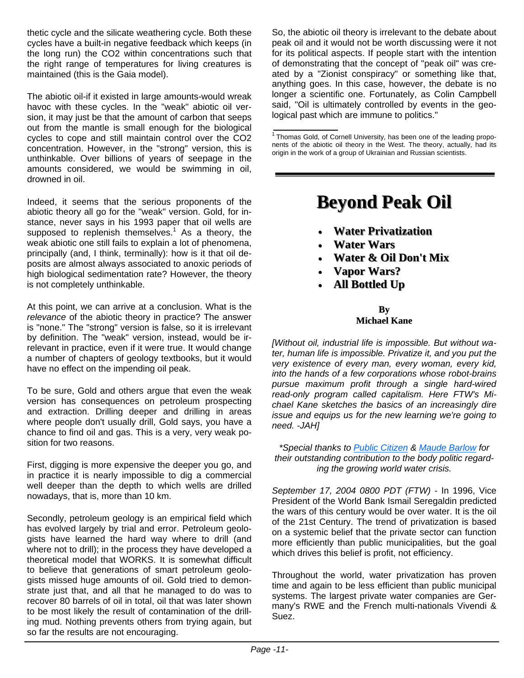thetic cycle and the silicate weathering cycle. Both these cycles have a built-in negative feedback which keeps (in the long run) the CO2 within concentrations such that the right range of temperatures for living creatures is maintained (this is the Gaia model).

The abiotic oil-if it existed in large amounts-would wreak havoc with these cycles. In the "weak" abiotic oil version, it may just be that the amount of carbon that seeps out from the mantle is small enough for the biological cycles to cope and still maintain control over the CO2 concentration. However, in the "strong" version, this is unthinkable. Over billions of years of seepage in the amounts considered, we would be swimming in oil, drowned in oil.

Indeed, it seems that the serious proponents of the abiotic theory all go for the "weak" version. Gold, for instance, never says in his 1993 paper that oil wells are supposed to replenish themselves.<sup>1</sup> As a theory, the weak abiotic one still fails to explain a lot of phenomena, principally (and, I think, terminally): how is it that oil deposits are almost always associated to anoxic periods of high biological sedimentation rate? However, the theory is not completely unthinkable.

At this point, we can arrive at a conclusion. What is the *relevance* of the abiotic theory in practice? The answer is "none." The "strong" version is false, so it is irrelevant by definition. The "weak" version, instead, would be irrelevant in practice, even if it were true. It would change a number of chapters of geology textbooks, but it would have no effect on the impending oil peak.

To be sure, Gold and others argue that even the weak version has consequences on petroleum prospecting and extraction. Drilling deeper and drilling in areas where people don't usually drill, Gold says, you have a chance to find oil and gas. This is a very, very weak position for two reasons.

First, digging is more expensive the deeper you go, and in practice it is nearly impossible to dig a commercial well deeper than the depth to which wells are drilled nowadays, that is, more than 10 km.

Secondly, petroleum geology is an empirical field which has evolved largely by trial and error. Petroleum geologists have learned the hard way where to drill (and where not to drill); in the process they have developed a theoretical model that WORKS. It is somewhat difficult to believe that generations of smart petroleum geologists missed huge amounts of oil. Gold tried to demonstrate just that, and all that he managed to do was to recover 80 barrels of oil in total, oil that was later shown to be most likely the result of contamination of the drilling mud. Nothing prevents others from trying again, but so far the results are not encouraging.

So, the abiotic oil theory is irrelevant to the debate about peak oil and it would not be worth discussing were it not for its political aspects. If people start with the intention of demonstrating that the concept of "peak oil" was created by a "Zionist conspiracy" or something like that, anything goes. In this case, however, the debate is no longer a scientific one. Fortunately, as Colin Campbell said, "Oil is ultimately controlled by events in the geological past which are immune to politics."

# **Beyond Peak Oil Beyond Peak Oil**

- **Water Privatization Water Privatization**
- **Water Wars**
- **Water & Oil Don't Mix Water & Oil Don't Mix**
- **Vapor Wars? Vapor Wars?**
- **All Bottled Up All Bottled Up**

#### **By Michael Kane Michael Kane**

*[Without oil, industrial life is impossible. But without water, human life is impossible. Privatize it, and you put the very existence of every man, every woman, every kid, into the hands of a few corporations whose robot-brains pursue maximum profit through a single hard-wired read-only program called capitalism. Here FTW's Michael Kane sketches the basics of an increasingly dire issue and equips us for the new learning we're going to need. -JAH]*

*\*Special thanks to Public Citizen & Maude Barlow for their outstanding contribution to the body politic regarding the growing world water crisis.*

*September 17, 2004 0800 PDT (FTW)* - In 1996, Vice President of the World Bank Ismail Seregaldin predicted the wars of this century would be over water. It is the oil of the 21st Century. The trend of privatization is based on a systemic belief that the private sector can function more efficiently than public municipalities, but the goal which drives this belief is profit, not efficiency.

Throughout the world, water privatization has proven time and again to be less efficient than public municipal systems. The largest private water companies are Germany's RWE and the French multi-nationals Vivendi & Suez.

 $\overline{1}$ Thomas Gold, of Cornell University, has been one of the leading proponents of the abiotic oil theory in the West. The theory, actually, had its origin in the work of a group of Ukrainian and Russian scientists.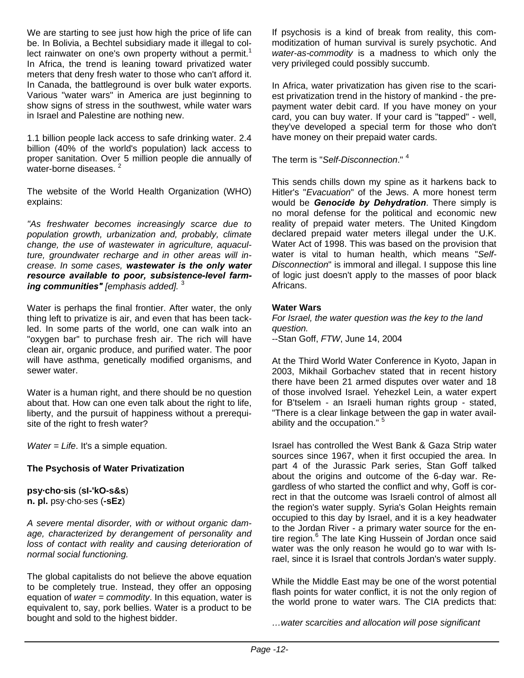We are starting to see just how high the price of life can be. In Bolivia, a Bechtel subsidiary made it illegal to collect rainwater on one's own property without a permit.<sup>1</sup> In Africa, the trend is leaning toward privatized water meters that deny fresh water to those who can't afford it. In Canada, the battleground is over bulk water exports. Various "water wars" in America are just beginning to show signs of stress in the southwest, while water wars in Israel and Palestine are nothing new.

1.1 billion people lack access to safe drinking water. 2.4 billion (40% of the world's population) lack access to proper sanitation. Over 5 million people die annually of water-borne diseases.<sup>2</sup>

The website of the World Health Organization (WHO) explains:

*"As freshwater becomes increasingly scarce due to population growth, urbanization and, probably, climate change, the use of wastewater in agriculture, aquaculture, groundwater recharge and in other areas will increase. In some cases, wastewater is the only water resource available to poor, subsistence-level farming communities" [emphasis added].* <sup>3</sup>

Water is perhaps the final frontier. After water, the only thing left to privatize is air, and even that has been tackled. In some parts of the world, one can walk into an "oxygen bar" to purchase fresh air. The rich will have clean air, organic produce, and purified water. The poor will have asthma, genetically modified organisms, and sewer water.

Water is a human right, and there should be no question about that. How can one even talk about the right to life, liberty, and the pursuit of happiness without a prerequisite of the right to fresh water?

*Water = Life*. It's a simple equation.

#### **The Psychosis of Water Privatization**

## **psy·cho·sis** (**sI-'kO-s&s**)

**n. pl.** psy·cho·ses (**-sEz**)

*A severe mental disorder, with or without organic damage, characterized by derangement of personality and loss of contact with reality and causing deterioration of normal social functioning.*

The global capitalists do not believe the above equation to be completely true. Instead, they offer an opposing equation of *water = commodity*. In this equation, water is equivalent to, say, pork bellies. Water is a product to be bought and sold to the highest bidder.

If psychosis is a kind of break from reality, this commoditization of human survival is surely psychotic. And *water-as-commodity* is a madness to which only the very privileged could possibly succumb.

In Africa, water privatization has given rise to the scariest privatization trend in the history of mankind - the prepayment water debit card. If you have money on your card, you can buy water. If your card is "tapped" - well, they've developed a special term for those who don't have money on their prepaid water cards.

The term is "*Self-Disconnection*." <sup>4</sup>

This sends chills down my spine as it harkens back to Hitler's "*Evacuation*" of the Jews. A more honest term would be *Genocide by Dehydration*. There simply is no moral defense for the political and economic new reality of prepaid water meters. The United Kingdom declared prepaid water meters illegal under the U.K. Water Act of 1998. This was based on the provision that water is vital to human health, which means "*Self-Disconnection*" is immoral and illegal. I suppose this line of logic just doesn't apply to the masses of poor black Africans.

#### **Water Wars**

*For Israel, the water question was the key to the land question.* --Stan Goff, *FTW*, June 14, 2004

At the Third World Water Conference in Kyoto, Japan in 2003, Mikhail Gorbachev stated that in recent history there have been 21 armed disputes over water and 18 of those involved Israel. Yehezkel Lein, a water expert for B'tselem - an Israeli human rights group - stated, "There is a clear linkage between the gap in water availability and the occupation." <sup>5</sup>

Israel has controlled the West Bank & Gaza Strip water sources since 1967, when it first occupied the area. In part 4 of the Jurassic Park series, Stan Goff talked about the origins and outcome of the 6-day war. Regardless of who started the conflict and why, Goff is correct in that the outcome was Israeli control of almost all the region's water supply. Syria's Golan Heights remain occupied to this day by Israel, and it is a key headwater to the Jordan River - a primary water source for the entire region.<sup>6</sup> The late King Hussein of Jordan once said water was the only reason he would go to war with Israel, since it is Israel that controls Jordan's water supply.

While the Middle East may be one of the worst potential flash points for water conflict, it is not the only region of the world prone to water wars. The CIA predicts that:

*…water scarcities and allocation will pose significant*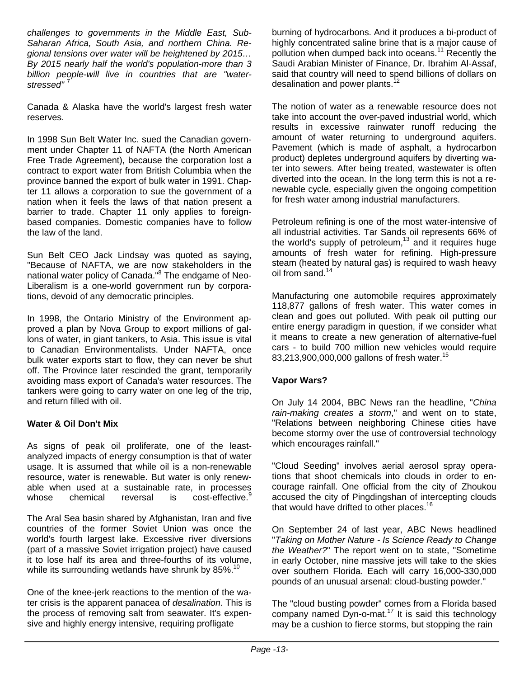*challenges to governments in the Middle East, Sub-Saharan Africa, South Asia, and northern China. Regional tensions over water will be heightened by 2015… By 2015 nearly half the world's population-more than 3 billion people-will live in countries that are "waterstressed"* <sup>7</sup>

Canada & Alaska have the world's largest fresh water reserves.

In 1998 Sun Belt Water Inc. sued the Canadian government under Chapter 11 of NAFTA (the North American Free Trade Agreement), because the corporation lost a contract to export water from British Columbia when the province banned the export of bulk water in 1991. Chapter 11 allows a corporation to sue the government of a nation when it feels the laws of that nation present a barrier to trade. Chapter 11 only applies to foreignbased companies. Domestic companies have to follow the law of the land.

Sun Belt CEO Jack Lindsay was quoted as saying, "Because of NAFTA, we are now stakeholders in the national water policy of Canada."<sup>8</sup> The endgame of Neo-Liberalism is a one-world government run by corporations, devoid of any democratic principles.

In 1998, the Ontario Ministry of the Environment approved a plan by Nova Group to export millions of gallons of water, in giant tankers, to Asia. This issue is vital to Canadian Environmentalists. Under NAFTA, once bulk water exports start to flow, they can never be shut off. The Province later rescinded the grant, temporarily avoiding mass export of Canada's water resources. The tankers were going to carry water on one leg of the trip, and return filled with oil.

#### **Water & Oil Don't Mix**

As signs of peak oil proliferate, one of the leastanalyzed impacts of energy consumption is that of water usage. It is assumed that while oil is a non-renewable resource, water is renewable. But water is only renewable when used at a sustainable rate, in processes whose chemical reversal is cost-effective.<sup>9</sup>

The Aral Sea basin shared by Afghanistan, Iran and five countries of the former Soviet Union was once the world's fourth largest lake. Excessive river diversions (part of a massive Soviet irrigation project) have caused it to lose half its area and three-fourths of its volume, while its surrounding wetlands have shrunk by 85%.<sup>10</sup>

One of the knee-jerk reactions to the mention of the water crisis is the apparent panacea of *desalination*. This is the process of removing salt from seawater. It's expensive and highly energy intensive, requiring profligate

burning of hydrocarbons. And it produces a bi-product of highly concentrated saline brine that is a major cause of pollution when dumped back into oceans.<sup>11</sup> Recently the Saudi Arabian Minister of Finance, Dr. Ibrahim Al-Assaf, said that country will need to spend billions of dollars on desalination and power plants.<sup>1</sup>

The notion of water as a renewable resource does not take into account the over-paved industrial world, which results in excessive rainwater runoff reducing the amount of water returning to underground aquifers. Pavement (which is made of asphalt, a hydrocarbon product) depletes underground aquifers by diverting water into sewers. After being treated, wastewater is often diverted into the ocean. In the long term this is not a renewable cycle, especially given the ongoing competition for fresh water among industrial manufacturers.

Petroleum refining is one of the most water-intensive of all industrial activities. Tar Sands oil represents 66% of the world's supply of petroleum, $13$  and it requires huge amounts of fresh water for refining. High-pressure steam (heated by natural gas) is required to wash heavy oil from sand.<sup>14</sup>

Manufacturing one automobile requires approximately 118,877 gallons of fresh water. This water comes in clean and goes out polluted. With peak oil putting our entire energy paradigm in question, if we consider what it means to create a new generation of alternative-fuel cars - to build 700 million new vehicles would require 83,213,900,000,000 gallons of fresh water.<sup>15</sup>

#### **Vapor Wars?**

On July 14 2004, BBC News ran the headline, "*China rain-making creates a storm*," and went on to state, "Relations between neighboring Chinese cities have become stormy over the use of controversial technology which encourages rainfall."

"Cloud Seeding" involves aerial aerosol spray operations that shoot chemicals into clouds in order to encourage rainfall. One official from the city of Zhoukou accused the city of Pingdingshan of intercepting clouds that would have drifted to other places.<sup>16</sup>

On September 24 of last year, ABC News headlined "*Taking on Mother Nature - Is Science Ready to Change the Weather?*" The report went on to state, "Sometime in early October, nine massive jets will take to the skies over southern Florida. Each will carry 16,000-330,000 pounds of an unusual arsenal: cloud-busting powder."

The "cloud busting powder" comes from a Florida based company named  $\overline{D}$ yn-o-mat.<sup>17</sup> It is said this technology may be a cushion to fierce storms, but stopping the rain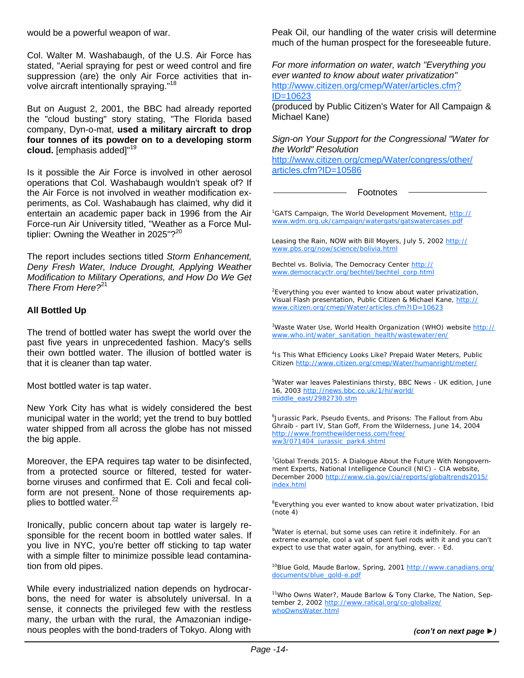would be a powerful weapon of war.

Col. Walter M. Washabaugh, of the U.S. Air Force has stated, "Aerial spraying for pest or weed control and fire suppression (are) the only Air Force activities that involve aircraft intentionally spraying."<sup>18</sup>

But on August 2, 2001, the BBC had already reported the "cloud busting" story stating, "The Florida based company, Dyn-o-mat, **used a military aircraft to drop four tonnes of its powder on to a developing storm cloud.** [emphasis added]"<sup>19</sup>

Is it possible the Air Force is involved in other aerosol operations that Col. Washabaugh wouldn't speak of? If the Air Force is not involved in weather modification experiments, as Col. Washabaugh has claimed, why did it entertain an academic paper back in 1996 from the Air Force-run Air University titled, "Weather as a Force Multiplier: Owning the Weather in 2025"? $20$ 

The report includes sections titled *Storm Enhancement, Deny Fresh Water, Induce Drought, Applying Weather Modification to Military Operations, and How Do We Get There From Here?*<sup>21</sup>

#### **All Bottled Up**

The trend of bottled water has swept the world over the past five years in unprecedented fashion. Macy's sells their own bottled water. The illusion of bottled water is that it is cleaner than tap water.

Most bottled water is tap water.

New York City has what is widely considered the best municipal water in the world; yet the trend to buy bottled water shipped from all across the globe has not missed the big apple.

Moreover, the EPA requires tap water to be disinfected, from a protected source or filtered, tested for waterborne viruses and confirmed that E. Coli and fecal coliform are not present. None of those requirements applies to bottled water.<sup>22</sup>

Ironically, public concern about tap water is largely responsible for the recent boom in bottled water sales. If you live in NYC, you're better off sticking to tap water with a simple filter to minimize possible lead contamination from old pipes.

While every industrialized nation depends on hydrocarbons, the need for water is absolutely universal. In a sense, it connects the privileged few with the restless many, the urban with the rural, the Amazonian indigenous peoples with the bond-traders of Tokyo. Along with

Peak Oil, our handling of the water crisis will determine much of the human prospect for the foreseeable future.

*For more information on water, watch "Everything you ever wanted to know about water privatization"* http://www.citizen.org/cmep/Water/articles.cfm? ID=10623

(produced by Public Citizen's Water for All Campaign & Michael Kane)

*Sign-on Your Support for the Congressional "Water for the World" Resolution*

http://www.citizen.org/cmep/Water/congress/other/ articles.cfm?ID=10586

Footnotes

<sup>1</sup>GATS Campaign, The World Development Movement, http:// www.wdm.org.uk/campaign/watergats/gatswatercases.pdf

Leasing the Rain, NOW with Bill Moyers, July 5, 2002 http:// www.pbs.org/now/science/bolivia.html

Bechtel vs. Bolivia, The Democracy Center http:// www.democracyctr.org/bechtel/bechtel\_corp.html

<sup>2</sup> Everything you ever wanted to know about water privatization, Visual Flash presentation, Public Citizen & Michael Kane, http:// www.citizen.org/cmep/Water/articles.cfm?ID=10623

<sup>3</sup>Waste Water Use, World Health Organization (WHO) website http:// www.who.int/water\_sanitation\_health/wastewater/en/

4 Is This What Efficiency Looks Like? Prepaid Water Meters, Public Citizen http://www.citizen.org/cmep/Water/humanright/meter/

<sup>5</sup>Water war leaves Palestinians thirsty, BBC News - UK edition, June 16, 2003 http://news.bbc.co.uk/1/hi/world/ middle\_east/2982730.stm

<sup>6</sup>Jurassic Park, Pseudo Events, and Prisons: The Fallout from Abu Ghraib - part IV, Stan Goff, From the Wilderness, June 14, 2004 http://www.fromthewilderness.com/free/ ww3/071404\_jurassic\_park4.shtml

 $7$ Global Trends 2015: A Dialogue About the Future With Nongovernment Experts, National Intelligence Council (NIC) - CIA website, December 2000 http://www.cia.gov/cia/reports/globaltrends2015/ index.html

<sup>8</sup>Everything you ever wanted to know about water privatization, Ibid (note 4)

<sup>9</sup>Water is eternal, but some uses can retire it indefinitely. For an extreme example, cool a vat of spent fuel rods with it and you can't expect to use that water again, for anything, ever. - Ed.

10Blue Gold, Maude Barlow, Spring, 2001 http://www.canadians.org/ documents/blue\_gold-e.pdf

<sup>11</sup>Who Owns Water?, Maude Barlow & Tony Clarke, The Nation, September 2, 2002 http://www.ratical.org/co-globalize/ whoOwnsWater.html

 $\ddot{\phantom{a}}$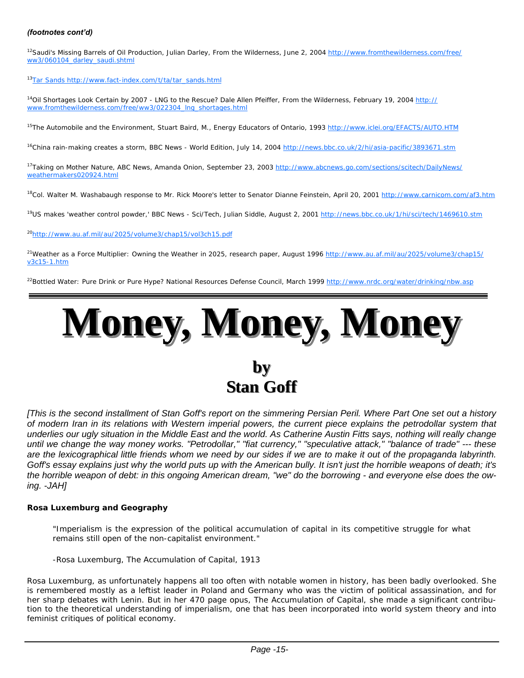#### *(footnotes cont'd)*

<sup>12</sup>Saudi's Missing Barrels of Oil Production, Julian Darley, From the Wilderness, June 2, 2004 http://www.fromthewilderness.com/free/ ww3/060104\_darley\_saudi.shtml

13Tar Sands http://www.fact-index.com/t/ta/tar\_sands.html

<sup>14</sup>Oil Shortages Look Certain by 2007 - LNG to the Rescue? Dale Allen Pfeiffer, From the Wilderness, February 19, 2004 http:// www.fromthewilderness.com/free/ww3/022304\_lng\_shortages.html

<sup>15</sup>The Automobile and the Environment, Stuart Baird, M., Energy Educators of Ontario, 1993 http://www.iclei.org/EFACTS/AUTO.HTM

<sup>16</sup>China rain-making creates a storm, BBC News - World Edition, July 14, 2004 http://news.bbc.co.uk/2/hi/asia-pacific/3893671.stm

<sup>17</sup>Taking on Mother Nature, ABC News, Amanda Onion, September 23, 2003 http://www.abcnews.go.com/sections/scitech/DailyNews/ weathermakers020924.html

<sup>18</sup>Col. Walter M. Washabaugh response to Mr. Rick Moore's letter to Senator Dianne Feinstein, April 20, 2001 http://www.carnicom.com/af3.htm

<sup>19</sup>US makes 'weather control powder,' BBC News - Sci/Tech, Julian Siddle, August 2, 2001 http://news.bbc.co.uk/1/hi/sci/tech/1469610.stm

20http://www.au.af.mil/au/2025/volume3/chap15/vol3ch15.pdf

<sup>21</sup>Weather as a Force Multiplier: Owning the Weather in 2025, research paper, August 1996 http://www.au.af.mil/au/2025/volume3/chap15/ v3c15-1.htm

<sup>22</sup>Bottled Water: Pure Drink or Pure Hype? National Resources Defense Council, March 1999 http://www.nrdc.org/water/drinking/nbw.asp



## **by Stan Goff Stan Goff**

*[This is the second installment of Stan Goff's report on the simmering Persian Peril. Where Part One set out a history of modern Iran in its relations with Western imperial powers, the current piece explains the petrodollar system that underlies our ugly situation in the Middle East and the world. As Catherine Austin Fitts says, nothing will really change until we change the way money works. "Petrodollar," "fiat currency," "speculative attack," "balance of trade" --- these are the lexicographical little friends whom we need by our sides if we are to make it out of the propaganda labyrinth. Goff's essay explains just why the world puts up with the American bully. It isn't just the horrible weapons of death; it's the horrible weapon of debt: in this ongoing American dream, "we" do the borrowing - and everyone else does the owing. -JAH]* 

#### *Rosa Luxemburg and Geography*

*"Imperialism is the expression of the political accumulation of capital in its competitive struggle for what remains still open of the non-capitalist environment."*

*-Rosa Luxemburg,* The Accumulation of Capital*, 1913*

Rosa Luxemburg, as unfortunately happens all too often with notable women in history, has been badly overlooked. She is remembered mostly as a leftist leader in Poland and Germany who was the victim of political assassination, and for her sharp debates with Lenin. But in her 470 page opus, *The Accumulation of Capital*, she made a significant contribution to the theoretical understanding of imperialism, one that has been incorporated into world system theory and into feminist critiques of political economy.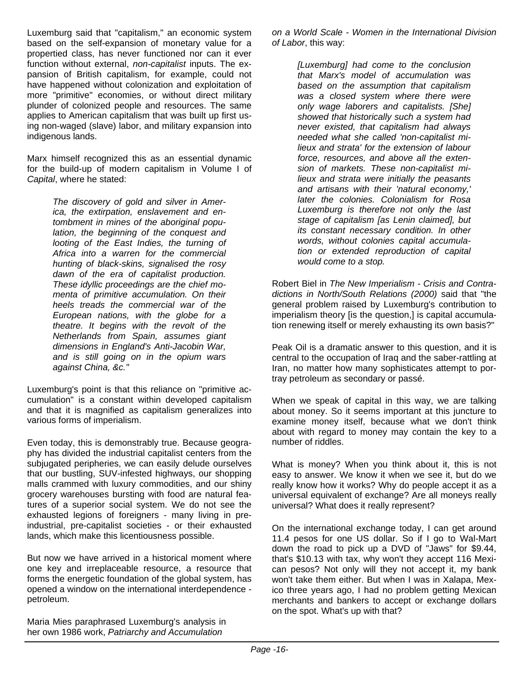Luxemburg said that "capitalism," an economic system based on the self-expansion of monetary value for a propertied class, has never functioned nor can it ever function without external, *non-capitalist* inputs. The expansion of British capitalism, for example, could not have happened without colonization and exploitation of more "primitive" economies, or without direct military plunder of colonized people and resources. The same applies to American capitalism that was built up first using non-waged (slave) labor, and military expansion into indigenous lands.

Marx himself recognized this as an essential dynamic for the build-up of modern capitalism in Volume I of *Capital*, where he stated:

> *The discovery of gold and silver in America, the extirpation, enslavement and entombment in mines of the aboriginal population, the beginning of the conquest and looting of the East Indies, the turning of Africa into a warren for the commercial hunting of black-skins, signalised the rosy dawn of the era of capitalist production. These idyllic proceedings are the chief momenta of primitive accumulation. On their heels treads the commercial war of the European nations, with the globe for a theatre. It begins with the revolt of the Netherlands from Spain, assumes giant dimensions in England's Anti-Jacobin War, and is still going on in the opium wars against China, &c."*

Luxemburg's point is that this reliance on "primitive accumulation" is a constant within developed capitalism and that it is magnified as capitalism generalizes into various forms of imperialism.

Even today, this is demonstrably true. Because geography has divided the industrial capitalist centers from the subjugated peripheries, we can easily delude ourselves that our bustling, SUV-infested highways, our shopping malls crammed with luxury commodities, and our shiny grocery warehouses bursting with food are natural features of a superior social system. We do not see the exhausted legions of foreigners - many living in preindustrial, pre-capitalist societies - or their exhausted lands, which make this licentiousness possible.

But now we have arrived in a historical moment where one key and irreplaceable resource, a resource that forms the energetic foundation of the global system, has opened a window on the international interdependence petroleum.

Maria Mies paraphrased Luxemburg's analysis in her own 1986 work, *Patriarchy and Accumulation*

*on a World Scale - Women in the International Division of Labor*, this way:

> *[Luxemburg] had come to the conclusion that Marx's model of accumulation was based on the assumption that capitalism was a closed system where there were only wage laborers and capitalists. [She] showed that historically such a system had never existed, that capitalism had always needed what she called 'non-capitalist milieux and strata' for the extension of labour force, resources, and above all the extension of markets. These non-capitalist milieux and strata were initially the peasants and artisans with their 'natural economy,' later the colonies. Colonialism for Rosa Luxemburg is therefore not only the last stage of capitalism [as Lenin claimed], but its constant necessary condition. In other words, without colonies capital accumulation or extended reproduction of capital would come to a stop.*

Robert Biel in *The New Imperialism - Crisis and Contradictions in North/South Relations (2000)* said that "the general problem raised by Luxemburg's contribution to imperialism theory [is the question,] is capital accumulation renewing itself or merely exhausting its own basis?"

Peak Oil is a dramatic answer to this question, and it is central to the occupation of Iraq and the saber-rattling at Iran, no matter how many sophisticates attempt to portray petroleum as secondary or passé.

When we speak of capital in this way, we are talking about money. So it seems important at this juncture to examine money itself, because what we don't think about with regard to money may contain the key to a number of riddles.

What is money? When you think about it, this is not easy to answer. We know it when we see it, but do we really know how it works? Why do people accept it as a universal equivalent of exchange? Are all moneys really universal? What does it really represent?

On the international exchange today, I can get around 11.4 pesos for one US dollar. So if I go to Wal-Mart down the road to pick up a DVD of "Jaws" for \$9.44, that's \$10.13 with tax, why won't they accept 116 Mexican pesos? Not only will they not accept it, my bank won't take them either. But when I was in Xalapa, Mexico three years ago, I had no problem getting Mexican merchants and bankers to accept or exchange dollars on the spot. What's up with that?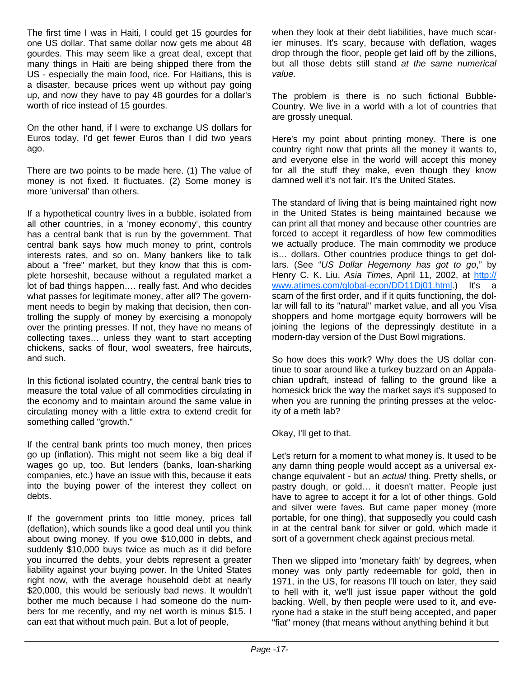The first time I was in Haiti, I could get 15 gourdes for one US dollar. That same dollar now gets me about 48 gourdes. This may seem like a great deal, except that many things in Haiti are being shipped there from the US - especially the main food, rice. For Haitians, this is a disaster, because prices went up without pay going up, and now they have to pay 48 gourdes for a dollar's worth of rice instead of 15 gourdes.

On the other hand, if I were to exchange US dollars for Euros today, I'd get fewer Euros than I did two years ago.

There are two points to be made here. (1) The value of money is not fixed. It fluctuates. (2) Some money is more 'universal' than others.

If a hypothetical country lives in a bubble, isolated from all other countries, in a 'money economy', this country has a central bank that is run by the government. That central bank says how much money to print, controls interests rates, and so on. Many bankers like to talk about a "free" market, but they know that this is complete horseshit, because without a regulated market a lot of bad things happen…. really fast. And who decides what passes for legitimate money, after all? The government needs to begin by making that decision, then controlling the supply of money by exercising a monopoly over the printing presses. If not, they have no means of collecting taxes… unless they want to start accepting chickens, sacks of flour, wool sweaters, free haircuts, and such.

In this fictional isolated country, the central bank tries to measure the total value of all commodities circulating in the economy and to maintain around the same value in circulating money with a little extra to extend credit for something called "growth."

If the central bank prints too much money, then prices go up (inflation). This might not seem like a big deal if wages go up, too. But lenders (banks, loan-sharking companies, etc.) have an issue with this, because it eats into the buying power of the interest they collect on debts.

If the government prints too little money, prices fall (deflation), which sounds like a good deal until you think about owing money. If you owe \$10,000 in debts, and suddenly \$10,000 buys twice as much as it did before you incurred the debts, your debts represent a greater liability against your buying power. In the United States right now, with the average household debt at nearly \$20,000, this would be seriously bad news. It wouldn't bother me much because I had someone do the numbers for me recently, and my net worth is minus \$15. I can eat that without much pain. But a lot of people,

when they look at their debt liabilities, have much scarier minuses. It's scary, because with deflation, wages drop through the floor, people get laid off by the zillions, but all those debts still stand *at the same numerical value.*

The problem is there is no such fictional Bubble-Country. We live in a world with a lot of countries that are grossly unequal.

Here's my point about printing money. There is one country right now that prints all the money it wants to, and everyone else in the world will accept this money for all the stuff they make, even though they know damned well it's not fair. It's the United States.

The standard of living that is being maintained right now in the United States is being maintained because we can print all that money and because other countries are forced to accept it regardless of how few commodities we actually produce. The main commodity we produce is… dollars. Other countries produce things to get dollars. (See "*US Dollar Hegemony has got to go*," by Henry C. K. Liu, *Asia Times*, April 11, 2002, at http:// www.atimes.com/global-econ/DD11Dj01.html.) It's a scam of the first order, and if it quits functioning, the dollar will fall to its "natural" market value, and all you Visa shoppers and home mortgage equity borrowers will be joining the legions of the depressingly destitute in a modern-day version of the Dust Bowl migrations.

So how does this work? Why does the US dollar continue to soar around like a turkey buzzard on an Appalachian updraft, instead of falling to the ground like a homesick brick the way the market says it's supposed to when you are running the printing presses at the velocity of a meth lab?

Okay, I'll get to that.

Let's return for a moment to what money is. It used to be any damn thing people would accept as a universal exchange equivalent - but an *actual* thing. Pretty shells, or pastry dough, or gold… it doesn't matter. People just have to agree to accept it for a lot of other things. Gold and silver were faves. But came paper money (more portable, for one thing), that supposedly you could cash in at the central bank for silver or gold, which made it sort of a government check against precious metal.

Then we slipped into 'monetary faith' by degrees, when money was only partly redeemable for gold, then in 1971, in the US, for reasons I'll touch on later, they said to hell with it, we'll just issue paper without the gold backing. Well, by then people were used to it, and everyone had a stake in the stuff being accepted, and paper "fiat" money (that means without anything behind it but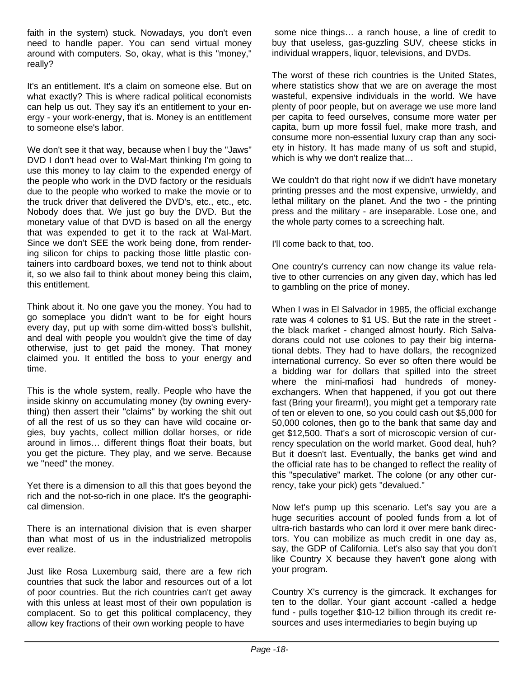faith in the system) stuck. Nowadays, you don't even need to handle paper. You can send virtual money around with computers. So, okay, what is this "money," really?

It's an entitlement. It's a claim on someone else. But on what exactly? This is where radical political economists can help us out. They say it's an entitlement to your energy - your work-energy, that is. Money is an entitlement to someone else's labor.

We don't see it that way, because when I buy the "Jaws" DVD I don't head over to Wal-Mart thinking I'm going to use this money to lay claim to the expended energy of the people who work in the DVD factory or the residuals due to the people who worked to make the movie or to the truck driver that delivered the DVD's, etc., etc., etc. Nobody does that. We just go buy the DVD. But the monetary value of that DVD is based on all the energy that was expended to get it to the rack at Wal-Mart. Since we don't SEE the work being done, from rendering silicon for chips to packing those little plastic containers into cardboard boxes, we tend not to think about it, so we also fail to think about money being this claim, this entitlement.

Think about it. No one gave you the money. You had to go someplace you didn't want to be for eight hours every day, put up with some dim-witted boss's bullshit, and deal with people you wouldn't give the time of day otherwise, just to get paid the money. That money claimed you. It entitled the boss to your energy and time.

This is the whole system, really. People who have the inside skinny on accumulating money (by owning everything) then assert their "claims" by working the shit out of all the rest of us so they can have wild cocaine orgies, buy yachts, collect million dollar horses, or ride around in limos… different things float their boats, but you get the picture. They play, and we serve. Because we "need" the money.

Yet there is a dimension to all this that goes beyond the rich and the not-so-rich in one place. It's the geographical dimension.

There is an international division that is even sharper than what most of us in the industrialized metropolis ever realize.

Just like Rosa Luxemburg said, there are a few rich countries that suck the labor and resources out of a lot of poor countries. But the rich countries can't get away with this unless at least most of their own population is complacent. So to get this political complacency, they allow key fractions of their own working people to have

 some nice things… a ranch house, a line of credit to buy that useless, gas-guzzling SUV, cheese sticks in individual wrappers, liquor, televisions, and DVDs.

The worst of these rich countries is the United States, where statistics show that we are on average the most wasteful, expensive individuals in the world. We have plenty of poor people, but on average we use more land per capita to feed ourselves, consume more water per capita, burn up more fossil fuel, make more trash, and consume more non-essential luxury crap than any society in history. It has made many of us soft and stupid, which is why we don't realize that…

We couldn't do that right now if we didn't have monetary printing presses and the most expensive, unwieldy, and lethal military on the planet. And the two - the printing press and the military - are inseparable. Lose one, and the whole party comes to a screeching halt.

I'll come back to that, too.

One country's currency can now change its value relative to other currencies on any given day, which has led to gambling on the price of money.

When I was in El Salvador in 1985, the official exchange rate was 4 colones to \$1 US. But the rate in the street the black market - changed almost hourly. Rich Salvadorans could not use colones to pay their big international debts. They had to have dollars, the recognized international currency. So ever so often there would be a bidding war for dollars that spilled into the street where the mini-mafiosi had hundreds of moneyexchangers. When that happened, if you got out there fast (Bring your firearm!), you might get a temporary rate of ten or eleven to one, so you could cash out \$5,000 for 50,000 colones, then go to the bank that same day and get \$12,500. That's a sort of microscopic version of currency speculation on the world market. Good deal, huh? But it doesn't last. Eventually, the banks get wind and the official rate has to be changed to reflect the reality of this "speculative" market. The colone (or any other currency, take your pick) gets "devalued."

Now let's pump up this scenario. Let's say you are a huge securities account of pooled funds from a lot of ultra-rich bastards who can lord it over mere bank directors. You can mobilize as much credit in one day as, say, the GDP of California. Let's also say that you don't like Country X because they haven't gone along with your program.

Country X's currency is the gimcrack. It exchanges for ten to the dollar. Your giant account -called a hedge fund - pulls together \$10-12 billion through its credit resources and uses intermediaries to begin buying up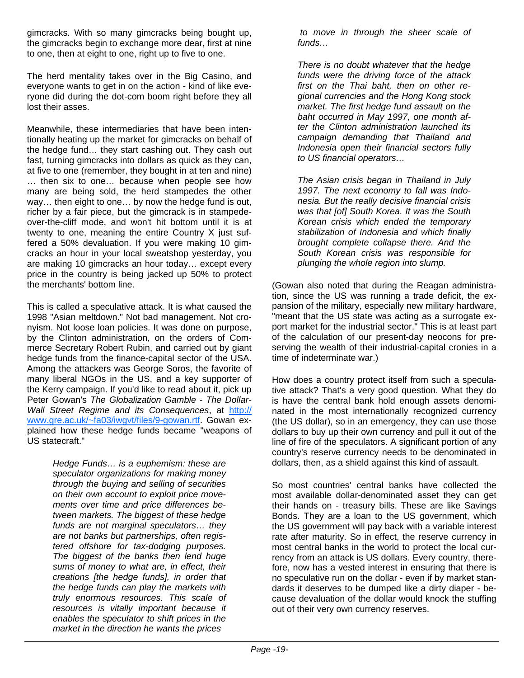gimcracks. With so many gimcracks being bought up, the gimcracks begin to exchange more dear, first at nine to one, then at eight to one, right up to five to one.

The herd mentality takes over in the Big Casino, and everyone wants to get in on the action - kind of like everyone did during the dot-com boom right before they all lost their asses.

Meanwhile, these intermediaries that have been intentionally heating up the market for gimcracks on behalf of the hedge fund… they start cashing out. They cash out fast, turning gimcracks into dollars as quick as they can, at five to one (remember, they bought in at ten and nine) … then six to one… because when people see how many are being sold, the herd stampedes the other way… then eight to one… by now the hedge fund is out, richer by a fair piece, but the gimcrack is in stampedeover-the-cliff mode, and won't hit bottom until it is at twenty to one, meaning the entire Country X just suffered a 50% devaluation. If you were making 10 gimcracks an hour in your local sweatshop yesterday, you are making 10 gimcracks an hour today… except every price in the country is being jacked up 50% to protect the merchants' bottom line.

This is called a speculative attack. It is what caused the 1998 "Asian meltdown." Not bad management. Not cronyism. Not loose loan policies. It was done on purpose, by the Clinton administration, on the orders of Commerce Secretary Robert Rubin, and carried out by giant hedge funds from the finance-capital sector of the USA. Among the attackers was George Soros, the favorite of many liberal NGOs in the US, and a key supporter of the Kerry campaign. If you'd like to read about it, pick up Peter Gowan's *The Globalization Gamble - The Dollar-Wall Street Regime and its Consequences*, at http:// www.gre.ac.uk/~fa03/iwgvt/files/9-gowan.rtf. Gowan explained how these hedge funds became "weapons of US statecraft."

> *Hedge Funds… is a euphemism: these are speculator organizations for making money through the buying and selling of securities on their own account to exploit price movements over time and price differences between markets. The biggest of these hedge funds are not marginal speculators… they are not banks but partnerships, often registered offshore for tax-dodging purposes. The biggest of the banks then lend huge sums of money to what are, in effect, their creations [the hedge funds], in order that the hedge funds can play the markets with truly enormous resources. This scale of resources is vitally important because it enables the speculator to shift prices in the market in the direction he wants the prices*

 *to move in through the sheer scale of funds…*

*There is no doubt whatever that the hedge funds were the driving force of the attack first on the Thai baht, then on other regional currencies and the Hong Kong stock market. The first hedge fund assault on the baht occurred in May 1997, one month after the Clinton administration launched its campaign demanding that Thailand and Indonesia open their financial sectors fully to US financial operators…*

*The Asian crisis began in Thailand in July 1997. The next economy to fall was Indonesia. But the really decisive financial crisis was that [of] South Korea. It was the South Korean crisis which ended the temporary stabilization of Indonesia and which finally brought complete collapse there. And the South Korean crisis was responsible for plunging the whole region into slump.*

(Gowan also noted that during the Reagan administration, since the US was running a trade deficit, the expansion of the military, especially new military hardware, "meant that the US state was acting as a surrogate export market for the industrial sector." This is at least part of the calculation of our present-day neocons for preserving the wealth of their industrial-capital cronies in a time of indeterminate war.)

How does a country protect itself from such a speculative attack? That's a very good question. What they do is have the central bank hold enough assets denominated in the most internationally recognized currency (the US dollar), so in an emergency, they can use those dollars to buy up their own currency and pull it out of the line of fire of the speculators. A significant portion of any country's reserve currency needs to be denominated in dollars, then, as a shield against this kind of assault.

So most countries' central banks have collected the most available dollar-denominated asset they can get their hands on - treasury bills. These are like Savings Bonds. They are a loan to the US government, which the US government will pay back with a variable interest rate after maturity. So in effect, the reserve currency in most central banks in the world to protect the local currency from an attack is US dollars. Every country, therefore, now has a vested interest in ensuring that there is no speculative run on the dollar - even if by market standards it deserves to be dumped like a dirty diaper - because devaluation of the dollar would knock the stuffing out of their very own currency reserves.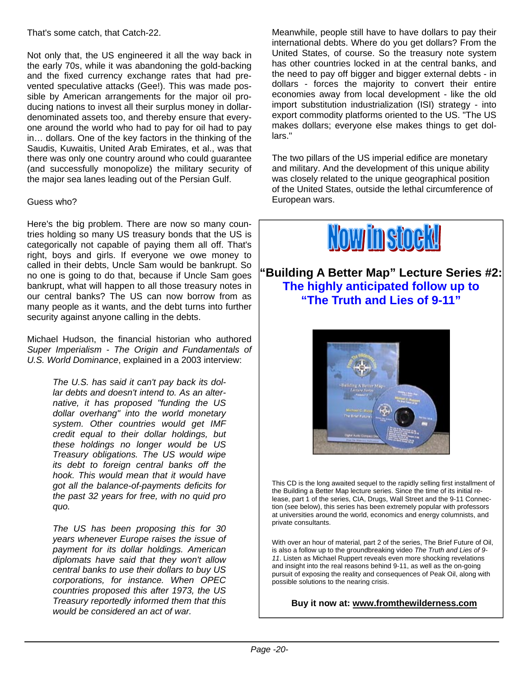That's some catch, that Catch-22.

Not only that, the US engineered it all the way back in the early 70s, while it was abandoning the gold-backing and the fixed currency exchange rates that had prevented speculative attacks (Gee!). This was made possible by American arrangements for the major oil producing nations to invest all their surplus money in dollardenominated assets too, and thereby ensure that everyone around the world who had to pay for oil had to pay in… dollars. One of the key factors in the thinking of the Saudis, Kuwaitis, United Arab Emirates, et al., was that there was only one country around who could guarantee (and successfully monopolize) the military security of the major sea lanes leading out of the Persian Gulf.

#### Guess who?

Here's the big problem. There are now so many countries holding so many US treasury bonds that the US is categorically not capable of paying them all off. That's right, boys and girls. If everyone we owe money to called in their debts, Uncle Sam would be bankrupt. So no one is going to do that, because if Uncle Sam goes bankrupt, what will happen to all those treasury notes in our central banks? The US can now borrow from as many people as it wants, and the debt turns into further security against anyone calling in the debts.

Michael Hudson, the financial historian who authored *Super Imperialism - The Origin and Fundamentals of U.S. World Dominance*, explained in a 2003 interview:

> *The U.S. has said it can't pay back its dollar debts and doesn't intend to. As an alternative, it has proposed "funding the US dollar overhang" into the world monetary system. Other countries would get IMF credit equal to their dollar holdings, but these holdings no longer would be US Treasury obligations. The US would wipe its debt to foreign central banks off the hook. This would mean that it would have got all the balance-of-payments deficits for the past 32 years for free, with no quid pro quo.*

> *The US has been proposing this for 30 years whenever Europe raises the issue of payment for its dollar holdings. American diplomats have said that they won't allow central banks to use their dollars to buy US corporations, for instance. When OPEC countries proposed this after 1973, the US Treasury reportedly informed them that this would be considered an act of war.*

Meanwhile, people still have to have dollars to pay their international debts. Where do you get dollars? From the United States, of course. So the treasury note system has other countries locked in at the central banks, and the need to pay off bigger and bigger external debts - in dollars - forces the majority to convert their entire economies away from local development - like the old import substitution industrialization (ISI) strategy - into export commodity platforms oriented to the US. "The US makes dollars; everyone else makes things to get dollars."

The two pillars of the US imperial edifice are monetary and military. And the development of this unique ability was closely related to the unique geographical position of the United States, outside the lethal circumference of European wars.



**"Building A Better Map" Lecture Series #2: The highly anticipated follow up to "The Truth and Lies of 9-11"**



This CD is the long awaited sequel to the rapidly selling first installment of the Building a Better Map lecture series. Since the time of its initial release, part 1 of the series, CIA, Drugs, Wall Street and the 9-11 Connection (see below), this series has been extremely popular with professors at universities around the world, economics and energy columnists, and private consultants.

With over an hour of material, part 2 of the series, The Brief Future of Oil, is also a follow up to the groundbreaking video *The Truth and Lies of 9- 11*. Listen as Michael Ruppert reveals even more shocking revelations and insight into the real reasons behind 9-11, as well as the on-going pursuit of exposing the reality and consequences of Peak Oil, along with possible solutions to the nearing crisis.

#### **Buy it now at: www.fromthewilderness.com**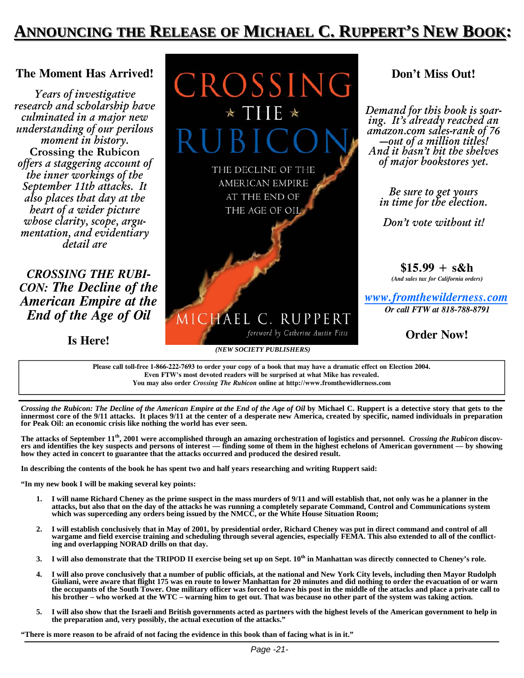## **ANNOUNCING NNOUNCING THE RELEASE OF MICHAEL C. RUPPERT'S NEW BOOK:**

#### **The Moment Has Arrived!**

*Years of investigative research and scholarship have culminated in a major new understanding of our perilous moment in history.*  **Crossing the Rubicon** *offers a staggering account of the inner workings of the September 11th attacks. It also places that day at the heart of a wider picture whose clarity, scope, argumentation, and evidentiary detail are* 

*CROSSING THE RUBI-CON: The Decline of the American Empire at the End of the Age of Oil* 

**Is Here!**



### **Don't Miss Out!**

*Demand for this book is soaring. It's already reached an amazon.com sales-rank of 76 —out of a million titles! And it hasn't hit the shelves of major bookstores yet.* 

> *Be sure to get yours in time for the election.*

*Don't vote without it!* 

**\$15.99 + s&h**  *(And sales tax for California orders)* 

*www.fromthewilderness.com Or call FTW at 818-788-8791* 

**Order Now!**

**Please call toll-free 1-866-222-7693 to order your copy of a book that may have a dramatic effect on Election 2004. Even FTW's most devoted readers will be surprised at what Mike has revealed. You may also order** *Crossing The Rubicon* **online at http://www.fromthewidlerness.com**

*Crossing the Rubicon: The Decline of the American Empire at the End of the Age of Oil by Michael C. Ruppert is a detective story that gets to the* **innermost core of the 9/11 attacks. It places 9/11 at the center of a desperate new America, created by specific, named individuals in preparation for Peak Oil: an economic crisis like nothing the world has ever seen.** 

**The attacks of September 11th, 2001 were accomplished through an amazing orchestration of logistics and personnel.** *Crossing the Rubicon* **discovers and identifies the key suspects and persons of interest — finding some of them in the highest echelons of American government — by showing how they acted in concert to guarantee that the attacks occurred and produced the desired result.** 

**In describing the contents of the book he has spent two and half years researching and writing Ruppert said:** 

**"In my new book I will be making several key points:** 

- **1. I will name Richard Cheney as the prime suspect in the mass murders of 9/11 and will establish that, not only was he a planner in the**  attacks, but also that on the day of the attacks he was running a completely separate Command, Control and Communications system<br>which was superceding any orders being issued by the NMCC, or the White House Situation Room;
- **wargame and field exercise training and scheduling through several agencies, especially FEMA. This also extended to all of the conflict-**
- 
- 3. I will also demonstrate that the TRIPOD II exercise being set up on Sept. 10<sup>th</sup> in Manhattan was directly connected to Cheney's role.<br>4. I will also prove conclusively that a number of public officials, at the national the occupants of the South Tower. One military officer was forced to leave his post in the middle of the attacks and place a private call to his brother – who worked at the WTC – warning him to get out. That was because no
- 5. I will also show that the Israeli and British governments acted as partners with the highest levels of the American government to help in **the preparation and, very possibly, the actual execution of the attacks."**

**"There is more reason to be afraid of not facing the evidence in this book than of facing what is in it."**